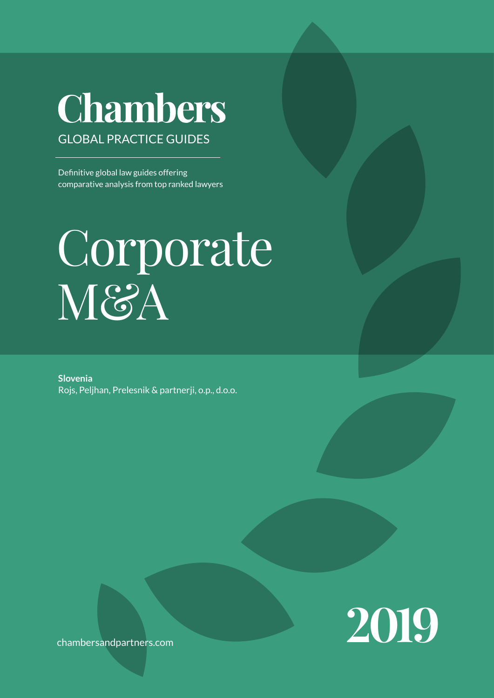# Chambers GLOBAL PRACTICE GUIDEs

Definitive global law guides offering comparative analysis from top ranked lawyers

# Corporate M&A

**Slovenia** Rojs, Peljhan, Prelesnik & partnerji, o.p., d.o.o.



chambersandpartners.com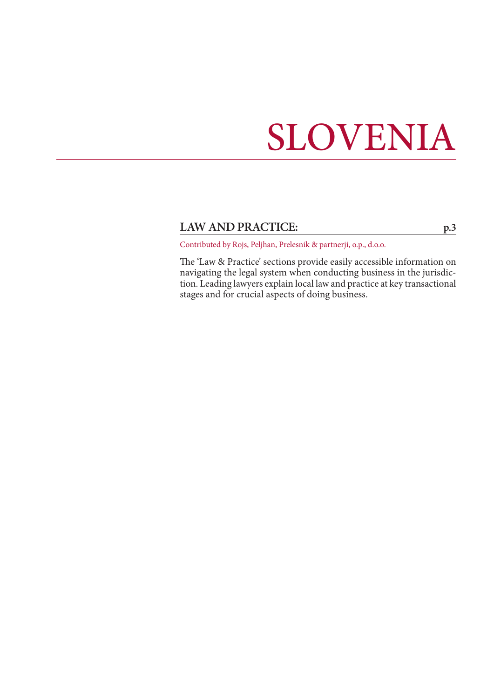# SLOVENIA

# LAW AND PRACTICE: [p.3](#page-2-0)

Contributed by Rojs, Peljhan, Prelesnik & partnerji, o.p., d.o.o.

The 'Law & Practice' sections provide easily accessible information on navigating the legal system when conducting business in the jurisdiction. Leading lawyers explain local law and practice at key transactional stages and for crucial aspects of doing business.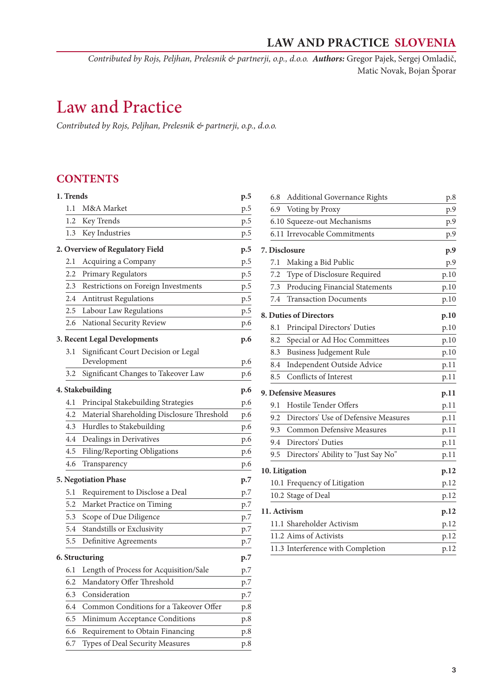*Contributed by Rojs, Peljhan, Prelesnik & partnerji, o.p., d.o.o. Authors:* Gregor Pajek, Sergej Omladič, Matic Novak, Bojan Šporar

# <span id="page-2-0"></span>Law and Practice

*Contributed by Rojs, Peljhan, Prelesnik & partnerji, o.p., d.o.o.*

# **CONTENTS**

| 1. Trends |                                            | p.5 |
|-----------|--------------------------------------------|-----|
| 1.1       | M&A Market                                 | p.5 |
| 1.2       | Key Trends                                 | p.5 |
| 1.3       | Key Industries                             | p.5 |
|           | 2. Overview of Regulatory Field            | p.5 |
| 2.1       | Acquiring a Company                        | p.5 |
| 2.2       | Primary Regulators                         | p.5 |
| 2.3       | Restrictions on Foreign Investments        | p.5 |
| 2.4       | <b>Antitrust Regulations</b>               | p.5 |
| $2.5\,$   | Labour Law Regulations                     | p.5 |
| 2.6       | National Security Review                   | p.6 |
|           | 3. Recent Legal Developments               | p.6 |
| 3.1       | Significant Court Decision or Legal        |     |
|           | Development                                | p.6 |
| 3.2       | Significant Changes to Takeover Law        | p.6 |
|           | 4. Stakebuilding                           | p.6 |
| 4.1       | Principal Stakebuilding Strategies         | p.6 |
| 4.2       | Material Shareholding Disclosure Threshold | p.6 |
| 4.3       | Hurdles to Stakebuilding                   | p.6 |
| 4.4       | Dealings in Derivatives                    | p.6 |
| 4.5       | Filing/Reporting Obligations               | p.6 |
| 4.6       | Transparency                               | p.6 |
|           | 5. Negotiation Phase                       | p.7 |
| 5.1       | Requirement to Disclose a Deal             | p.7 |
| 5.2       | Market Practice on Timing                  | p.7 |
| 5.3       | Scope of Due Diligence                     | p.7 |
| 5.4       | Standstills or Exclusivity                 | p.7 |
| 5.5       | Definitive Agreements                      | p.7 |
|           | 6. Structuring                             | p.7 |
| 6.1       | Length of Process for Acquisition/Sale     | p.7 |
| 6.2       | Mandatory Offer Threshold                  | p.7 |
| 6.3       | Consideration                              | p.7 |
| 6.4       | Common Conditions for a Takeover Offer     | p.8 |
| 6.5       | Minimum Acceptance Conditions              | p.8 |
| 6.6       | Requirement to Obtain Financing            | p.8 |
| 6.7       | Types of Deal Security Measures            | p.8 |

| 6.8            | <b>Additional Governance Rights</b>  | p.8  |
|----------------|--------------------------------------|------|
| 6.9            | Voting by Proxy                      | p.9  |
|                | 6.10 Squeeze-out Mechanisms          | p.9  |
|                | 6.11 Irrevocable Commitments         |      |
|                |                                      | p.9  |
| 7. Disclosure  |                                      | p.9  |
| 7.1            | Making a Bid Public                  | p.9  |
| 7.2            | Type of Disclosure Required          | p.10 |
| 7.3            | Producing Financial Statements       | p.10 |
| 7.4            | <b>Transaction Documents</b>         | p.10 |
|                | 8. Duties of Directors               | p.10 |
| 8.1            | Principal Directors' Duties          | p.10 |
| 8.2            | Special or Ad Hoc Committees         | p.10 |
| 8.3            | <b>Business Judgement Rule</b>       | p.10 |
| 8.4            | Independent Outside Advice           | p.11 |
| 8.5            | Conflicts of Interest                | p.11 |
|                | 9. Defensive Measures                | p.11 |
| 9.1            | <b>Hostile Tender Offers</b>         | p.11 |
| 9.2            | Directors' Use of Defensive Measures | p.11 |
| 9.3            | <b>Common Defensive Measures</b>     | p.11 |
| 9.4            | Directors' Duties                    | p.11 |
| 9.5            | Directors' Ability to "Just Say No"  | p.11 |
| 10. Litigation |                                      | p.12 |
|                | 10.1 Frequency of Litigation         | p.12 |
|                | 10.2 Stage of Deal                   | p.12 |
| 11. Activism   |                                      | p.12 |
|                | 11.1 Shareholder Activism            | p.12 |
|                | 11.2 Aims of Activists               | p.12 |
|                | 11.3 Interference with Completion    | p.12 |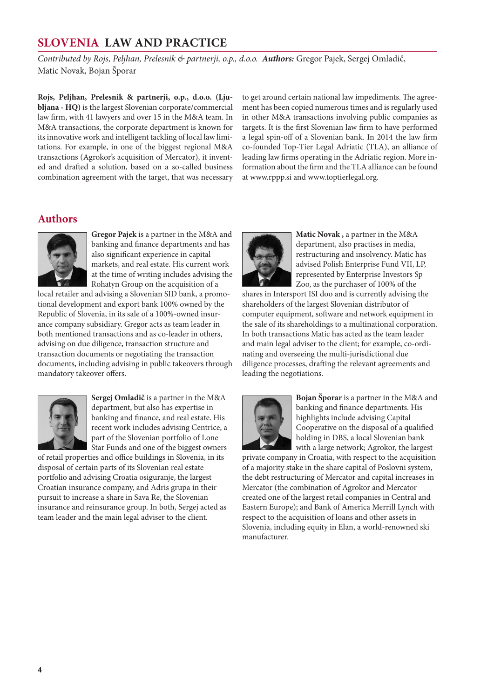*Contributed by Rojs, Peljhan, Prelesnik & partnerji, o.p., d.o.o. Authors:* Gregor Pajek, Sergej Omladič, Matic Novak, Bojan Šporar

**Rojs, Peljhan, Prelesnik & partnerji, o.p., d.o.o. (Ljubljana - HQ)** is the largest Slovenian corporate/commercial law firm, with 41 lawyers and over 15 in the M&A team. In M&A transactions, the corporate department is known for its innovative work and intelligent tackling of local law limitations. For example, in one of the biggest regional M&A transactions (Agrokor's acquisition of Mercator), it invented and drafted a solution, based on a so-called business combination agreement with the target, that was necessary

to get around certain national law impediments. The agreement has been copied numerous times and is regularly used in other M&A transactions involving public companies as targets. It is the first Slovenian law firm to have performed a legal spin-off of a Slovenian bank. In 2014 the law firm co-founded Top-Tier Legal Adriatic (TLA), an alliance of leading law firms operating in the Adriatic region. More information about the firm and the TLA alliance can be found at www.rppp.si and www.toptierlegal.org.

# **Authors**



**Gregor Pajek** is a partner in the M&A and banking and finance departments and has also significant experience in capital markets, and real estate. His current work at the time of writing includes advising the Rohatyn Group on the acquisition of a

local retailer and advising a Slovenian SID bank, a promotional development and export bank 100% owned by the Republic of Slovenia, in its sale of a 100%-owned insurance company subsidiary. Gregor acts as team leader in both mentioned transactions and as co-leader in others, advising on due diligence, transaction structure and transaction documents or negotiating the transaction documents, including advising in public takeovers through mandatory takeover offers.



**Sergej Omladič** is a partner in the M&A department, but also has expertise in banking and finance, and real estate. His recent work includes advising Centrice, a part of the Slovenian portfolio of Lone Star Funds and one of the biggest owners

of retail properties and office buildings in Slovenia, in its disposal of certain parts of its Slovenian real estate portfolio and advising Croatia osiguranje, the largest Croatian insurance company, and Adris grupa in their pursuit to increase a share in Sava Re, the Slovenian insurance and reinsurance group. In both, Sergej acted as team leader and the main legal adviser to the client.



**Matic Novak ,** a partner in the M&A department, also practises in media, restructuring and insolvency. Matic has advised Polish Enterprise Fund VII, LP, represented by Enterprise Investors Sp Zoo, as the purchaser of 100% of the

shares in Intersport ISI doo and is currently advising the shareholders of the largest Slovenian distributor of computer equipment, software and network equipment in the sale of its shareholdings to a multinational corporation. In both transactions Matic has acted as the team leader and main legal adviser to the client; for example, co-ordinating and overseeing the multi-jurisdictional due diligence processes, drafting the relevant agreements and leading the negotiations.



**Bojan Šporar** is a partner in the M&A and banking and finance departments. His highlights include advising Capital Cooperative on the disposal of a qualified holding in DBS, a local Slovenian bank with a large network; Agrokor, the largest

private company in Croatia, with respect to the acquisition of a majority stake in the share capital of Poslovni system, the debt restructuring of Mercator and capital increases in Mercator (the combination of Agrokor and Mercator created one of the largest retail companies in Central and Eastern Europe); and Bank of America Merrill Lynch with respect to the acquisition of loans and other assets in Slovenia, including equity in Elan, a world-renowned ski manufacturer.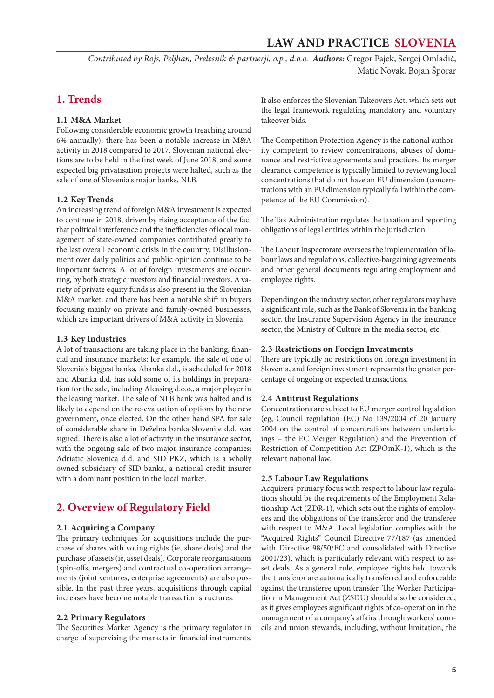<span id="page-4-0"></span>*Contributed by Rojs, Peljhan, Prelesnik & partnerji, o.p., d.o.o. Authors:* Gregor Pajek, Sergej Omladič, Matic Novak, Bojan Šporar

# **1. Trends**

# **1.1 M&A Market**

Following considerable economic growth (reaching around 6% annually), there has been a notable increase in M&A activity in 2018 compared to 2017. Slovenian national elections are to be held in the first week of June 2018, and some expected big privatisation projects were halted, such as the sale of one of Slovenia's major banks, NLB.

# **1.2 Key Trends**

An increasing trend of foreign M&A investment is expected to continue in 2018, driven by rising acceptance of the fact that political interference and the inefficiencies of local management of state-owned companies contributed greatly to the last overall economic crisis in the country. Disillusionment over daily politics and public opinion continue to be important factors. A lot of foreign investments are occurring, by both strategic investors and financial investors. A variety of private equity funds is also present in the Slovenian M&A market, and there has been a notable shift in buyers focusing mainly on private and family-owned businesses, which are important drivers of M&A activity in Slovenia.

### **1.3 Key Industries**

A lot of transactions are taking place in the banking, financial and insurance markets; for example, the sale of one of Slovenia's biggest banks, Abanka d.d., is scheduled for 2018 and Abanka d.d. has sold some of its holdings in preparation for the sale, including Aleasing d.o.o., a major player in the leasing market. The sale of NLB bank was halted and is likely to depend on the re-evaluation of options by the new government, once elected. On the other hand SPA for sale of considerable share in Deželna banka Slovenije d.d. was signed. There is also a lot of activity in the insurance sector, with the ongoing sale of two major insurance companies: Adriatic Slovenica d.d. and SID PKZ, which is a wholly owned subsidiary of SID banka, a national credit insurer with a dominant position in the local market.

# **2. Overview of Regulatory Field**

# **2.1 Acquiring a Company**

The primary techniques for acquisitions include the purchase of shares with voting rights (ie, share deals) and the purchase of assets (ie, asset deals). Corporate reorganisations (spin-offs, mergers) and contractual co-operation arrangements (joint ventures, enterprise agreements) are also possible. In the past three years, acquisitions through capital increases have become notable transaction structures.

### **2.2 Primary Regulators**

The Securities Market Agency is the primary regulator in charge of supervising the markets in financial instruments.

It also enforces the Slovenian Takeovers Act, which sets out the legal framework regulating mandatory and voluntary takeover bids.

The Competition Protection Agency is the national authority competent to review concentrations, abuses of dominance and restrictive agreements and practices. Its merger clearance competence is typically limited to reviewing local concentrations that do not have an EU dimension (concentrations with an EU dimension typically fall within the competence of the EU Commission).

The Tax Administration regulates the taxation and reporting obligations of legal entities within the jurisdiction.

The Labour Inspectorate oversees the implementation of labour laws and regulations, collective-bargaining agreements and other general documents regulating employment and employee rights.

Depending on the industry sector, other regulators may have a significant role, such as the Bank of Slovenia in the banking sector, the Insurance Supervision Agency in the insurance sector, the Ministry of Culture in the media sector, etc.

### **2.3 Restrictions on Foreign Investments**

There are typically no restrictions on foreign investment in Slovenia, and foreign investment represents the greater percentage of ongoing or expected transactions.

### **2.4 Antitrust Regulations**

Concentrations are subject to EU merger control legislation (eg, Council regulation (EC) No 139/2004 of 20 January 2004 on the control of concentrations between undertakings – the EC Merger Regulation) and the Prevention of Restriction of Competition Act (ZPOmK-1), which is the relevant national law.

### **2.5 Labour Law Regulations**

Acquirers' primary focus with respect to labour law regulations should be the requirements of the Employment Relationship Act (ZDR-1), which sets out the rights of employees and the obligations of the transferor and the transferee with respect to M&A. Local legislation complies with the "Acquired Rights" Council Directive 77/187 (as amended with Directive 98/50/EC and consolidated with Directive 2001/23), which is particularly relevant with respect to asset deals. As a general rule, employee rights held towards the transferor are automatically transferred and enforceable against the transferee upon transfer. The Worker Participation in Management Act (ZSDU) should also be considered, as it gives employees significant rights of co-operation in the management of a company's affairs through workers' councils and union stewards, including, without limitation, the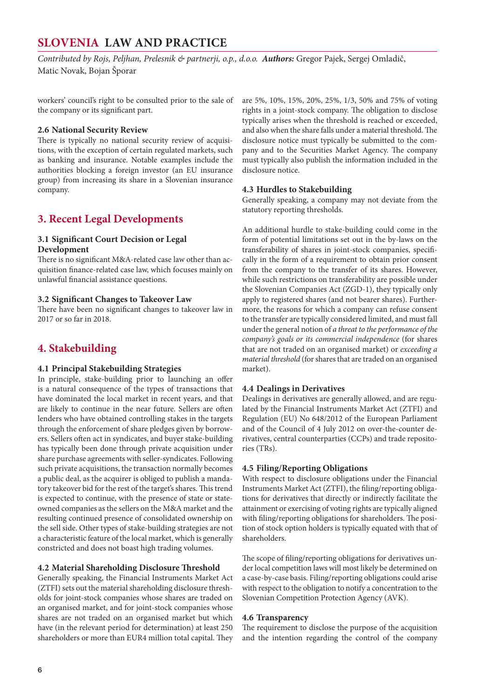<span id="page-5-0"></span>*Contributed by Rojs, Peljhan, Prelesnik & partnerji, o.p., d.o.o. Authors:* Gregor Pajek, Sergej Omladič, Matic Novak, Bojan Šporar

workers' council's right to be consulted prior to the sale of the company or its significant part.

# **2.6 National Security Review**

There is typically no national security review of acquisitions, with the exception of certain regulated markets, such as banking and insurance. Notable examples include the authorities blocking a foreign investor (an EU insurance group) from increasing its share in a Slovenian insurance company.

# **3. Recent Legal Developments**

# **3.1 Significant Court Decision or Legal Development**

There is no significant M&A-related case law other than acquisition finance-related case law, which focuses mainly on unlawful financial assistance questions.

# **3.2 Significant Changes to Takeover Law**

There have been no significant changes to takeover law in 2017 or so far in 2018.

# **4. Stakebuilding**

# **4.1 Principal Stakebuilding Strategies**

In principle, stake-building prior to launching an offer is a natural consequence of the types of transactions that have dominated the local market in recent years, and that are likely to continue in the near future. Sellers are often lenders who have obtained controlling stakes in the targets through the enforcement of share pledges given by borrowers. Sellers often act in syndicates, and buyer stake-building has typically been done through private acquisition under share purchase agreements with seller-syndicates. Following such private acquisitions, the transaction normally becomes a public deal, as the acquirer is obliged to publish a mandatory takeover bid for the rest of the target's shares. This trend is expected to continue, with the presence of state or stateowned companies as the sellers on the M&A market and the resulting continued presence of consolidated ownership on the sell side. Other types of stake-building strategies are not a characteristic feature of the local market, which is generally constricted and does not boast high trading volumes.

# **4.2 Material Shareholding Disclosure Threshold**

Generally speaking, the Financial Instruments Market Act (ZTFI) sets out the material shareholding disclosure thresholds for joint-stock companies whose shares are traded on an organised market, and for joint-stock companies whose shares are not traded on an organised market but which have (in the relevant period for determination) at least 250 shareholders or more than EUR4 million total capital. They

are 5%, 10%, 15%, 20%, 25%, 1/3, 50% and 75% of voting rights in a joint-stock company. The obligation to disclose typically arises when the threshold is reached or exceeded, and also when the share falls under a material threshold. The disclosure notice must typically be submitted to the company and to the Securities Market Agency. The company must typically also publish the information included in the disclosure notice.

# **4.3 Hurdles to Stakebuilding**

Generally speaking, a company may not deviate from the statutory reporting thresholds.

An additional hurdle to stake-building could come in the form of potential limitations set out in the by-laws on the transferability of shares in joint-stock companies, specifically in the form of a requirement to obtain prior consent from the company to the transfer of its shares. However, while such restrictions on transferability are possible under the Slovenian Companies Act (ZGD-1), they typically only apply to registered shares (and not bearer shares). Furthermore, the reasons for which a company can refuse consent to the transfer are typically considered limited, and must fall under the general notion of *a threat to the performance of the company's goals or its commercial independence* (for shares that are not traded on an organised market) or *exceeding a material threshold* (for shares that are traded on an organised market).

# **4.4 Dealings in Derivatives**

Dealings in derivatives are generally allowed, and are regulated by the Financial Instruments Market Act (ZTFI) and Regulation (EU) No 648/2012 of the European Parliament and of the Council of 4 July 2012 on over-the-counter derivatives, central counterparties (CCPs) and trade repositories (TRs).

# **4.5 Filing/Reporting Obligations**

With respect to disclosure obligations under the Financial Instruments Market Act (ZTFI), the filing/reporting obligations for derivatives that directly or indirectly facilitate the attainment or exercising of voting rights are typically aligned with filing/reporting obligations for shareholders. The position of stock option holders is typically equated with that of shareholders.

The scope of filing/reporting obligations for derivatives under local competition laws will most likely be determined on a case-by-case basis. Filing/reporting obligations could arise with respect to the obligation to notify a concentration to the Slovenian Competition Protection Agency (AVK).

# **4.6 Transparency**

The requirement to disclose the purpose of the acquisition and the intention regarding the control of the company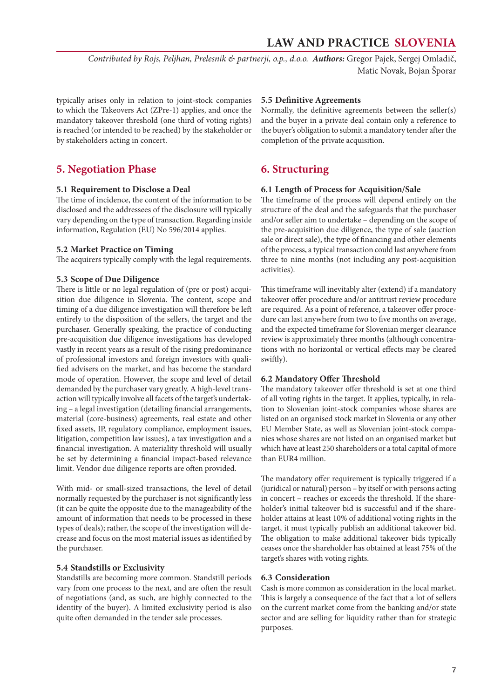<span id="page-6-0"></span>*Contributed by Rojs, Peljhan, Prelesnik & partnerji, o.p., d.o.o. Authors:* Gregor Pajek, Sergej Omladič, Matic Novak, Bojan Šporar

typically arises only in relation to joint-stock companies to which the Takeovers Act (ZPre-1) applies, and once the mandatory takeover threshold (one third of voting rights) is reached (or intended to be reached) by the stakeholder or by stakeholders acting in concert.

# **5. Negotiation Phase**

### **5.1 Requirement to Disclose a Deal**

The time of incidence, the content of the information to be disclosed and the addressees of the disclosure will typically vary depending on the type of transaction. Regarding inside information, Regulation (EU) No 596/2014 applies.

### **5.2 Market Practice on Timing**

The acquirers typically comply with the legal requirements.

### **5.3 Scope of Due Diligence**

There is little or no legal regulation of (pre or post) acquisition due diligence in Slovenia. The content, scope and timing of a due diligence investigation will therefore be left entirely to the disposition of the sellers, the target and the purchaser. Generally speaking, the practice of conducting pre-acquisition due diligence investigations has developed vastly in recent years as a result of the rising predominance of professional investors and foreign investors with qualified advisers on the market, and has become the standard mode of operation. However, the scope and level of detail demanded by the purchaser vary greatly. A high-level transaction will typically involve all facets of the target's undertaking – a legal investigation (detailing financial arrangements, material (core-business) agreements, real estate and other fixed assets, IP, regulatory compliance, employment issues, litigation, competition law issues), a tax investigation and a financial investigation. A materiality threshold will usually be set by determining a financial impact-based relevance limit. Vendor due diligence reports are often provided.

With mid- or small-sized transactions, the level of detail normally requested by the purchaser is not significantly less (it can be quite the opposite due to the manageability of the amount of information that needs to be processed in these types of deals); rather, the scope of the investigation will decrease and focus on the most material issues as identified by the purchaser.

# **5.4 Standstills or Exclusivity**

Standstills are becoming more common. Standstill periods vary from one process to the next, and are often the result of negotiations (and, as such, are highly connected to the identity of the buyer). A limited exclusivity period is also quite often demanded in the tender sale processes.

### **5.5 Definitive Agreements**

Normally, the definitive agreements between the seller(s) and the buyer in a private deal contain only a reference to the buyer's obligation to submit a mandatory tender after the completion of the private acquisition.

# **6. Structuring**

### **6.1 Length of Process for Acquisition/Sale**

The timeframe of the process will depend entirely on the structure of the deal and the safeguards that the purchaser and/or seller aim to undertake – depending on the scope of the pre-acquisition due diligence, the type of sale (auction sale or direct sale), the type of financing and other elements of the process, a typical transaction could last anywhere from three to nine months (not including any post-acquisition activities).

This timeframe will inevitably alter (extend) if a mandatory takeover offer procedure and/or antitrust review procedure are required. As a point of reference, a takeover offer procedure can last anywhere from two to five months on average, and the expected timeframe for Slovenian merger clearance review is approximately three months (although concentrations with no horizontal or vertical effects may be cleared swiftly).

### **6.2 Mandatory Offer Threshold**

The mandatory takeover offer threshold is set at one third of all voting rights in the target. It applies, typically, in relation to Slovenian joint-stock companies whose shares are listed on an organised stock market in Slovenia or any other EU Member State, as well as Slovenian joint-stock companies whose shares are not listed on an organised market but which have at least 250 shareholders or a total capital of more than EUR4 million.

The mandatory offer requirement is typically triggered if a (juridical or natural) person – by itself or with persons acting in concert – reaches or exceeds the threshold. If the shareholder's initial takeover bid is successful and if the shareholder attains at least 10% of additional voting rights in the target, it must typically publish an additional takeover bid. The obligation to make additional takeover bids typically ceases once the shareholder has obtained at least 75% of the target's shares with voting rights.

# **6.3 Consideration**

Cash is more common as consideration in the local market. This is largely a consequence of the fact that a lot of sellers on the current market come from the banking and/or state sector and are selling for liquidity rather than for strategic purposes.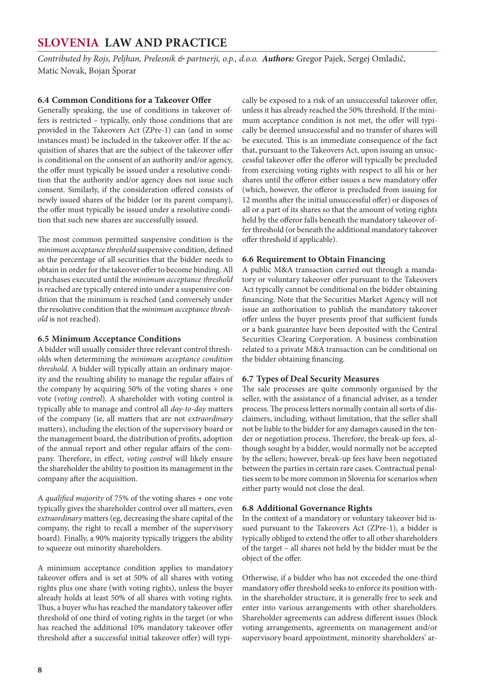<span id="page-7-0"></span>*Contributed by Rojs, Peljhan, Prelesnik & partnerji, o.p., d.o.o. Authors:* Gregor Pajek, Sergej Omladič, Matic Novak, Bojan Šporar

# **6.4 Common Conditions for a Takeover Offer**

Generally speaking, the use of conditions in takeover offers is restricted – typically, only those conditions that are provided in the Takeovers Act (ZPre-1) can (and in some instances must) be included in the takeover offer. If the acquisition of shares that are the subject of the takeover offer is conditional on the consent of an authority and/or agency, the offer must typically be issued under a resolutive condition that the authority and/or agency does not issue such consent. Similarly, if the consideration offered consists of newly issued shares of the bidder (or its parent company), the offer must typically be issued under a resolutive condition that such new shares are successfully issued.

The most common permitted suspensive condition is the *minimum acceptance threshold* suspensive condition, defined as the percentage of all securities that the bidder needs to obtain in order for the takeover offer to become binding. All purchases executed until the *minimum acceptance threshold*  is reached are typically entered into under a suspensive condition that the minimum is reached (and conversely under the resolutive condition that the *minimum acceptance threshold* is not reached).

# **6.5 Minimum Acceptance Conditions**

A bidder will usually consider three relevant control thresholds when determining the *minimum acceptance condition threshold*. A bidder will typically attain an ordinary majority and the resulting ability to manage the regular affairs of the company by acquiring 50% of the voting shares + one vote (*voting control*). A shareholder with voting control is typically able to manage and control all *day-to-day* matters of the company (ie, all matters that are not *extraordinary*  matters), including the election of the supervisory board or the management board, the distribution of profits, adoption of the annual report and other regular affairs of the company. Therefore, in effect, *voting control* will likely ensure the shareholder the ability to position its management in the company after the acquisition.

A *qualified majority* of 75% of the voting shares + one vote typically gives the shareholder control over all matters, even *extraordinary* matters (eg, decreasing the share capital of the company, the right to recall a member of the supervisory board). Finally, a 90% majority typically triggers the ability to squeeze out minority shareholders.

A minimum acceptance condition applies to mandatory takeover offers and is set at 50% of all shares with voting rights plus one share (with voting rights), unless the buyer already holds at least 50% of all shares with voting rights. Thus, a buyer who has reached the mandatory takeover offer threshold of one third of voting rights in the target (or who has reached the additional 10% mandatory takeover offer threshold after a successful initial takeover offer) will typically be exposed to a risk of an unsuccessful takeover offer, unless it has already reached the 50% threshold. If the minimum acceptance condition is not met, the offer will typically be deemed unsuccessful and no transfer of shares will be executed. This is an immediate consequence of the fact that, pursuant to the Takeovers Act, upon issuing an unsuccessful takeover offer the offeror will typically be precluded from exercising voting rights with respect to all his or her shares until the offeror either issues a new mandatory offer (which, however, the offeror is precluded from issuing for 12 months after the initial unsuccessful offer) or disposes of all or a part of its shares so that the amount of voting rights held by the offeror falls beneath the mandatory takeover offer threshold (or beneath the additional mandatory takeover offer threshold if applicable).

# **6.6 Requirement to Obtain Financing**

A public M&A transaction carried out through a mandatory or voluntary takeover offer pursuant to the Takeovers Act typically cannot be conditional on the bidder obtaining financing. Note that the Securities Market Agency will not issue an authorisation to publish the mandatory takeover offer unless the buyer presents proof that sufficient funds or a bank guarantee have been deposited with the Central Securities Clearing Corporation. A business combination related to a private M&A transaction can be conditional on the bidder obtaining financing.

# **6.7 Types of Deal Security Measures**

The sale processes are quite commonly organised by the seller, with the assistance of a financial adviser, as a tender process. The process letters normally contain all sorts of disclaimers, including, without limitation, that the seller shall not be liable to the bidder for any damages caused in the tender or negotiation process. Therefore, the break-up fees, although sought by a bidder, would normally not be accepted by the sellers; however, break-up fees have been negotiated between the parties in certain rare cases. Contractual penalties seem to be more common in Slovenia for scenarios when either party would not close the deal.

# **6.8 Additional Governance Rights**

In the context of a mandatory or voluntary takeover bid issued pursuant to the Takeovers Act (ZPre-1), a bidder is typically obliged to extend the offer to all other shareholders of the target – all shares not held by the bidder must be the object of the offer.

Otherwise, if a bidder who has not exceeded the one-third mandatory offer threshold seeks to enforce its position within the shareholder structure, it is generally free to seek and enter into various arrangements with other shareholders. Shareholder agreements can address different issues (block voting arrangements, agreements on management and/or supervisory board appointment, minority shareholders' ar-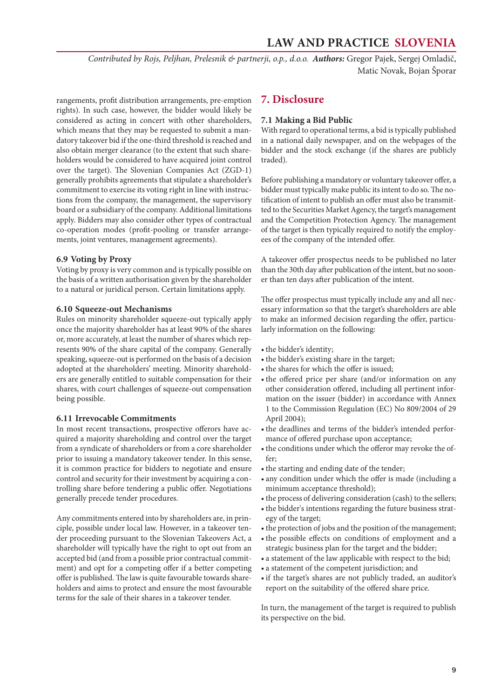<span id="page-8-0"></span>*Contributed by Rojs, Peljhan, Prelesnik & partnerji, o.p., d.o.o. Authors:* Gregor Pajek, Sergej Omladič, Matic Novak, Bojan Šporar

rangements, profit distribution arrangements, pre-emption rights). In such case, however, the bidder would likely be considered as acting in concert with other shareholders, which means that they may be requested to submit a mandatory takeover bid if the one-third threshold is reached and also obtain merger clearance (to the extent that such shareholders would be considered to have acquired joint control over the target). The Slovenian Companies Act (ZGD-1) generally prohibits agreements that stipulate a shareholder's commitment to exercise its voting right in line with instructions from the company, the management, the supervisory board or a subsidiary of the company. Additional limitations apply. Bidders may also consider other types of contractual co-operation modes (profit-pooling or transfer arrangements, joint ventures, management agreements).

### **6.9 Voting by Proxy**

Voting by proxy is very common and is typically possible on the basis of a written authorisation given by the shareholder to a natural or juridical person. Certain limitations apply.

### **6.10 Squeeze-out Mechanisms**

Rules on minority shareholder squeeze-out typically apply once the majority shareholder has at least 90% of the shares or, more accurately, at least the number of shares which represents 90% of the share capital of the company. Generally speaking, squeeze-out is performed on the basis of a decision adopted at the shareholders' meeting. Minority shareholders are generally entitled to suitable compensation for their shares, with court challenges of squeeze-out compensation being possible.

### **6.11 Irrevocable Commitments**

In most recent transactions, prospective offerors have acquired a majority shareholding and control over the target from a syndicate of shareholders or from a core shareholder prior to issuing a mandatory takeover tender. In this sense, it is common practice for bidders to negotiate and ensure control and security for their investment by acquiring a controlling share before tendering a public offer. Negotiations generally precede tender procedures.

Any commitments entered into by shareholders are, in principle, possible under local law. However, in a takeover tender proceeding pursuant to the Slovenian Takeovers Act, a shareholder will typically have the right to opt out from an accepted bid (and from a possible prior contractual commitment) and opt for a competing offer if a better competing offer is published. The law is quite favourable towards shareholders and aims to protect and ensure the most favourable terms for the sale of their shares in a takeover tender.

# **7. Disclosure**

### **7.1 Making a Bid Public**

With regard to operational terms, a bid is typically published in a national daily newspaper, and on the webpages of the bidder and the stock exchange (if the shares are publicly traded).

Before publishing a mandatory or voluntary takeover offer, a bidder must typically make public its intent to do so. The notification of intent to publish an offer must also be transmitted to the Securities Market Agency, the target's management and the Competition Protection Agency. The management of the target is then typically required to notify the employees of the company of the intended offer.

A takeover offer prospectus needs to be published no later than the 30th day after publication of the intent, but no sooner than ten days after publication of the intent.

The offer prospectus must typically include any and all necessary information so that the target's shareholders are able to make an informed decision regarding the offer, particularly information on the following:

- the bidder's identity;
- the bidder's existing share in the target;
- the shares for which the offer is issued;
- the offered price per share (and/or information on any other consideration offered, including all pertinent information on the issuer (bidder) in accordance with Annex 1 to the Commission Regulation (EC) No 809/2004 of 29 April 2004);
- the deadlines and terms of the bidder's intended performance of offered purchase upon acceptance;
- the conditions under which the offeror may revoke the offer;
- the starting and ending date of the tender;
- any condition under which the offer is made (including a minimum acceptance threshold);
- the process of delivering consideration (cash) to the sellers;
- the bidder's intentions regarding the future business strategy of the target;
- the protection of jobs and the position of the management;
- • the possible effects on conditions of employment and a strategic business plan for the target and the bidder;
- a statement of the law applicable with respect to the bid;
- • a statement of the competent jurisdiction; and
- if the target's shares are not publicly traded, an auditor's report on the suitability of the offered share price.

In turn, the management of the target is required to publish its perspective on the bid.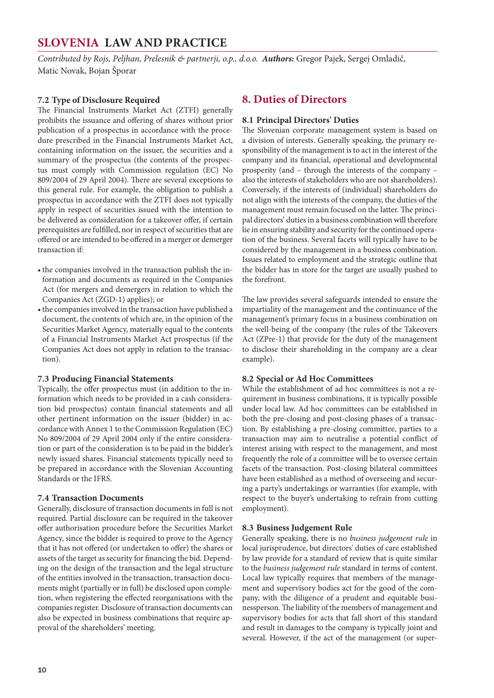<span id="page-9-0"></span>*Contributed by Rojs, Peljhan, Prelesnik & partnerji, o.p., d.o.o. Authors:* Gregor Pajek, Sergej Omladič, Matic Novak, Bojan Šporar

# **7.2 Type of Disclosure Required**

The Financial Instruments Market Act (ZTFI) generally prohibits the issuance and offering of shares without prior publication of a prospectus in accordance with the procedure prescribed in the Financial Instruments Market Act, containing information on the issuer, the securities and a summary of the prospectus (the contents of the prospectus must comply with Commission regulation (EC) No 809/2004 of 29 April 2004). There are several exceptions to this general rule. For example, the obligation to publish a prospectus in accordance with the ZTFI does not typically apply in respect of securities issued with the intention to be delivered as consideration for a takeover offer, if certain prerequisites are fulfilled, nor in respect of securities that are offered or are intended to be offered in a merger or demerger transaction if:

- the companies involved in the transaction publish the information and documents as required in the Companies Act (for mergers and demergers in relation to which the Companies Act (ZGD-1) applies); or
- the companies involved in the transaction have published a document, the contents of which are, in the opinion of the Securities Market Agency, materially equal to the contents of a Financial Instruments Market Act prospectus (if the Companies Act does not apply in relation to the transaction).

# **7.3 Producing Financial Statements**

Typically, the offer prospectus must (in addition to the information which needs to be provided in a cash consideration bid prospectus) contain financial statements and all other pertinent information on the issuer (bidder) in accordance with Annex 1 to the Commission Regulation (EC) No 809/2004 of 29 April 2004 only if the entire consideration or part of the consideration is to be paid in the bidder's newly issued shares. Financial statements typically need to be prepared in accordance with the Slovenian Accounting Standards or the IFRS.

# **7.4 Transaction Documents**

Generally, disclosure of transaction documents in full is not required. Partial disclosure can be required in the takeover offer authorisation procedure before the Securities Market Agency, since the bidder is required to prove to the Agency that it has not offered (or undertaken to offer) the shares or assets of the target as security for financing the bid. Depending on the design of the transaction and the legal structure of the entities involved in the transaction, transaction documents might (partially or in full) be disclosed upon completion, when registering the effected reorganisations with the companies register. Disclosure of transaction documents can also be expected in business combinations that require approval of the shareholders' meeting.

# **8. Duties of Directors**

# **8.1 Principal Directors' Duties**

The Slovenian corporate management system is based on a division of interests. Generally speaking, the primary responsibility of the management is to act in the interest of the company and its financial, operational and developmental prosperity (and – through the interests of the company – also the interests of stakeholders who are not shareholders). Conversely, if the interests of (individual) shareholders do not align with the interests of the company, the duties of the management must remain focused on the latter. The principal directors' duties in a business combination will therefore lie in ensuring stability and security for the continued operation of the business. Several facets will typically have to be considered by the management in a business combination. Issues related to employment and the strategic outline that the bidder has in store for the target are usually pushed to the forefront.

The law provides several safeguards intended to ensure the impartiality of the management and the continuance of the management's primary focus in a business combination on the well-being of the company (the rules of the Takeovers Act (ZPre-1) that provide for the duty of the management to disclose their shareholding in the company are a clear example).

# **8.2 Special or Ad Hoc Committees**

While the establishment of ad hoc committees is not a requirement in business combinations, it is typically possible under local law. Ad hoc committees can be established in both the pre-closing and post-closing phases of a transaction. By establishing a pre-closing committee, parties to a transaction may aim to neutralise a potential conflict of interest arising with respect to the management, and most frequently the role of a committee will be to oversee certain facets of the transaction. Post-closing bilateral committees have been established as a method of overseeing and securing a party's undertakings or warranties (for example, with respect to the buyer's undertaking to refrain from cutting employment).

# **8.3 Business Judgement Rule**

Generally speaking, there is no *business judgement rule* in local jurisprudence, but directors' duties of care established by law provide for a standard of review that is quite similar to the *business judgement rule* standard in terms of content. Local law typically requires that members of the management and supervisory bodies act for the good of the company, with the diligence of a prudent and equitable businessperson. The liability of the members of management and supervisory bodies for acts that fall short of this standard and result in damages to the company is typically joint and several. However, if the act of the management (or super-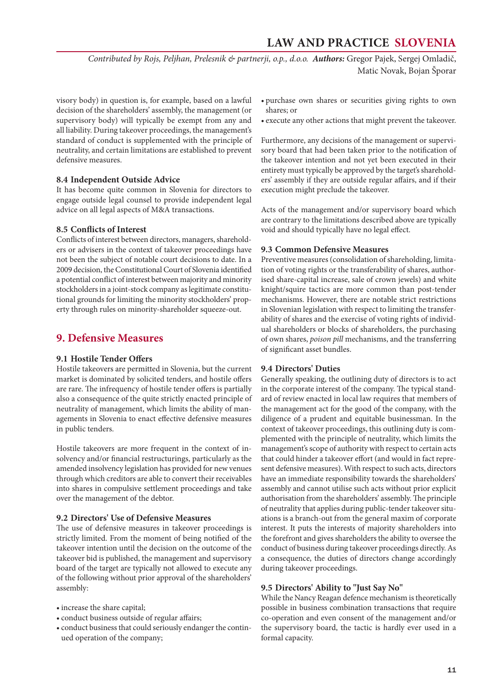<span id="page-10-0"></span>*Contributed by Rojs, Peljhan, Prelesnik & partnerji, o.p., d.o.o. Authors:* Gregor Pajek, Sergej Omladič, Matic Novak, Bojan Šporar

visory body) in question is, for example, based on a lawful decision of the shareholders' assembly, the management (or supervisory body) will typically be exempt from any and all liability. During takeover proceedings, the management's standard of conduct is supplemented with the principle of neutrality, and certain limitations are established to prevent defensive measures.

# **8.4 Independent Outside Advice**

It has become quite common in Slovenia for directors to engage outside legal counsel to provide independent legal advice on all legal aspects of M&A transactions.

### **8.5 Conflicts of Interest**

Conflicts of interest between directors, managers, shareholders or advisers in the context of takeover proceedings have not been the subject of notable court decisions to date. In a 2009 decision, the Constitutional Court of Slovenia identified a potential conflict of interest between majority and minority stockholders in a joint-stock company as legitimate constitutional grounds for limiting the minority stockholders' property through rules on minority-shareholder squeeze-out.

# **9. Defensive Measures**

# **9.1 Hostile Tender Offers**

Hostile takeovers are permitted in Slovenia, but the current market is dominated by solicited tenders, and hostile offers are rare. The infrequency of hostile tender offers is partially also a consequence of the quite strictly enacted principle of neutrality of management, which limits the ability of managements in Slovenia to enact effective defensive measures in public tenders.

Hostile takeovers are more frequent in the context of insolvency and/or financial restructurings, particularly as the amended insolvency legislation has provided for new venues through which creditors are able to convert their receivables into shares in compulsive settlement proceedings and take over the management of the debtor.

### **9.2 Directors' Use of Defensive Measures**

The use of defensive measures in takeover proceedings is strictly limited. From the moment of being notified of the takeover intention until the decision on the outcome of the takeover bid is published, the management and supervisory board of the target are typically not allowed to execute any of the following without prior approval of the shareholders' assembly:

- increase the share capital;
- conduct business outside of regular affairs;
- • conduct business that could seriously endanger the continued operation of the company;
- • purchase own shares or securities giving rights to own shares; or
- execute any other actions that might prevent the takeover.

Furthermore, any decisions of the management or supervisory board that had been taken prior to the notification of the takeover intention and not yet been executed in their entirety must typically be approved by the target's shareholders' assembly if they are outside regular affairs, and if their execution might preclude the takeover.

Acts of the management and/or supervisory board which are contrary to the limitations described above are typically void and should typically have no legal effect.

# **9.3 Common Defensive Measures**

Preventive measures (consolidation of shareholding, limitation of voting rights or the transferability of shares, authorised share-capital increase, sale of crown jewels) and white knight/squire tactics are more common than post-tender mechanisms. However, there are notable strict restrictions in Slovenian legislation with respect to limiting the transferability of shares and the exercise of voting rights of individual shareholders or blocks of shareholders, the purchasing of own shares, *poison pill* mechanisms, and the transferring of significant asset bundles.

### **9.4 Directors' Duties**

Generally speaking, the outlining duty of directors is to act in the corporate interest of the company. The typical standard of review enacted in local law requires that members of the management act for the good of the company, with the diligence of a prudent and equitable businessman. In the context of takeover proceedings, this outlining duty is complemented with the principle of neutrality, which limits the management's scope of authority with respect to certain acts that could hinder a takeover effort (and would in fact represent defensive measures). With respect to such acts, directors have an immediate responsibility towards the shareholders' assembly and cannot utilise such acts without prior explicit authorisation from the shareholders' assembly. The principle of neutrality that applies during public-tender takeover situations is a branch-out from the general maxim of corporate interest. It puts the interests of majority shareholders into the forefront and gives shareholders the ability to oversee the conduct of business during takeover proceedings directly. As a consequence, the duties of directors change accordingly during takeover proceedings.

### **9.5 Directors' Ability to "Just Say No"**

While the Nancy Reagan defence mechanism is theoretically possible in business combination transactions that require co-operation and even consent of the management and/or the supervisory board, the tactic is hardly ever used in a formal capacity.